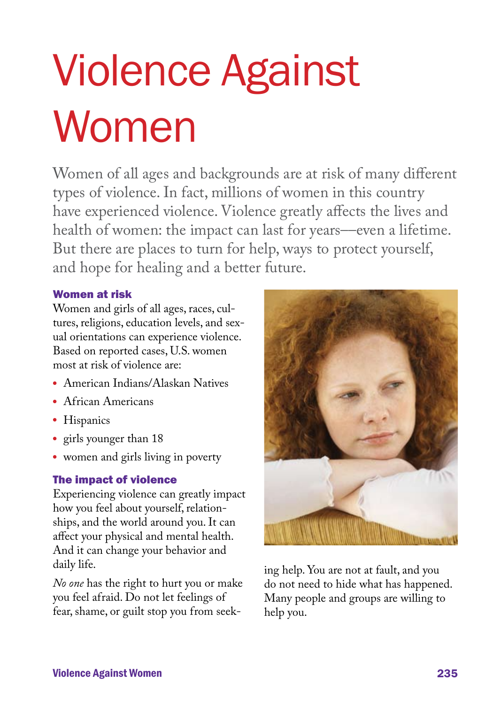# Violence Against Women

Women of all ages and backgrounds are at risk of many different types of violence. In fact, millions of women in this country have experienced violence. Violence greatly affects the lives and health of women: the impact can last for years—even a lifetime. But there are places to turn for help, ways to protect yourself, and hope for healing and a better future.

# Women at risk

Women and girls of all ages, races, cultures, religions, education levels, and sexual orientations can experience violence. Based on reported cases, U.S. women most at risk of violence are:

- American Indians/Alaskan Natives
- African Americans
- Hispanics
- girls younger than 18
- women and girls living in poverty

# The impact of violence

Experiencing violence can greatly impact how you feel about yourself, relationships, and the world around you. It can affect your physical and mental health. And it can change your behavior and daily life.

*No one* has the right to hurt you or make you feel afraid. Do not let feelings of fear, shame, or guilt stop you from seek-



ing help. You are not at fault, and you do not need to hide what has happened. Many people and groups are willing to help you.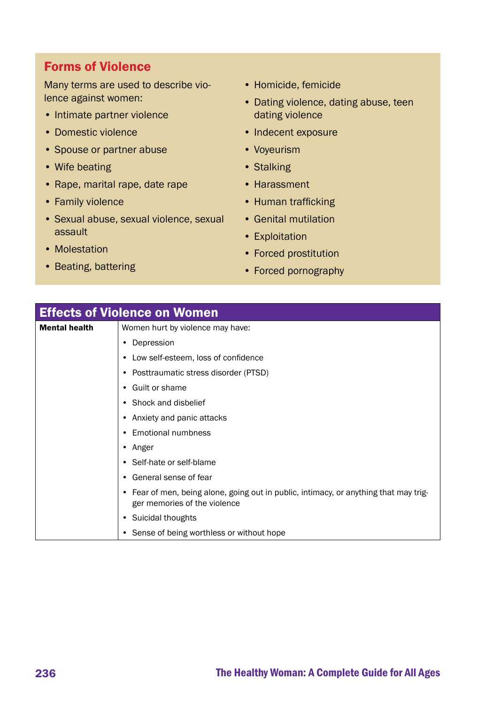# Forms of Violence

Many terms are used to describe vio-<br>
• Homicide, femicide

- Intimate partner violence and a dating violence
- Domestic violence Indecent exposure
- Spouse or partner abuse Voyeurism
- Wife beating **•** Stalking
- Rape, marital rape, date rape Harassment
- 
- Sexual abuse, sexual violence, sexual Genital mutilation assault • Exploitation • Exploitation
- 
- 
- 
- lence against women: • Dating violence, dating abuse, teen
	-
	-
	-
	-
- Family violence **Family violence Human** trafficking
	-
	-
- Molestation Forced prostitution
- Beating, battering entitled by the set of the Forced pornography

| <b>Effects of Violence on Women</b> |                                                                                                                          |  |
|-------------------------------------|--------------------------------------------------------------------------------------------------------------------------|--|
| <b>Mental health</b>                | Women hurt by violence may have:                                                                                         |  |
|                                     | Depression<br>٠                                                                                                          |  |
|                                     | Low self-esteem, loss of confidence<br>٠                                                                                 |  |
|                                     | Posttraumatic stress disorder (PTSD)<br>٠                                                                                |  |
|                                     | Guilt or shame<br>٠                                                                                                      |  |
|                                     | • Shock and disbelief                                                                                                    |  |
|                                     | • Anxiety and panic attacks                                                                                              |  |
|                                     | • Emotional numbness                                                                                                     |  |
|                                     | • Anger                                                                                                                  |  |
|                                     | • Self-hate or self-blame                                                                                                |  |
|                                     | General sense of fear<br>٠                                                                                               |  |
|                                     | Fear of men, being alone, going out in public, intimacy, or anything that may trig-<br>٠<br>ger memories of the violence |  |
|                                     | • Suicidal thoughts                                                                                                      |  |
|                                     | • Sense of being worthless or without hope                                                                               |  |
|                                     |                                                                                                                          |  |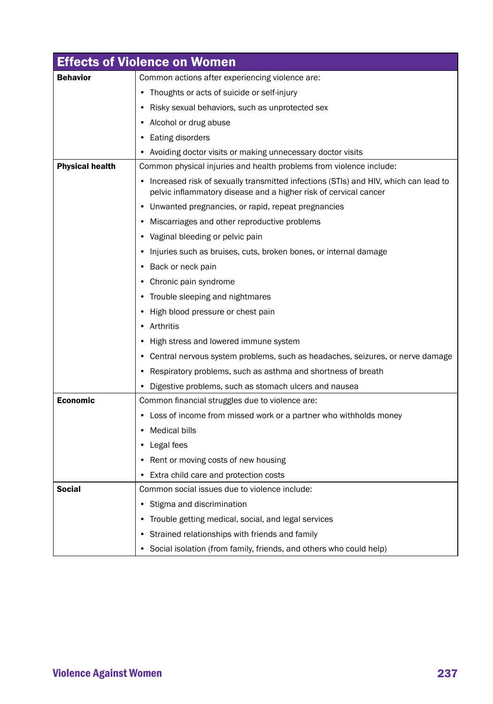| <b>Effects of Violence on Women</b> |                                                                                                                                                           |  |
|-------------------------------------|-----------------------------------------------------------------------------------------------------------------------------------------------------------|--|
| <b>Behavior</b>                     | Common actions after experiencing violence are:                                                                                                           |  |
|                                     | • Thoughts or acts of suicide or self-injury                                                                                                              |  |
|                                     | Risky sexual behaviors, such as unprotected sex                                                                                                           |  |
|                                     | Alcohol or drug abuse                                                                                                                                     |  |
|                                     | • Eating disorders                                                                                                                                        |  |
|                                     | • Avoiding doctor visits or making unnecessary doctor visits                                                                                              |  |
| <b>Physical health</b>              | Common physical injuries and health problems from violence include:                                                                                       |  |
|                                     | • Increased risk of sexually transmitted infections (STIs) and HIV, which can lead to<br>pelvic inflammatory disease and a higher risk of cervical cancer |  |
|                                     | Unwanted pregnancies, or rapid, repeat pregnancies                                                                                                        |  |
|                                     | Miscarriages and other reproductive problems                                                                                                              |  |
|                                     | Vaginal bleeding or pelvic pain                                                                                                                           |  |
|                                     | Injuries such as bruises, cuts, broken bones, or internal damage                                                                                          |  |
|                                     | Back or neck pain                                                                                                                                         |  |
|                                     | Chronic pain syndrome                                                                                                                                     |  |
|                                     | • Trouble sleeping and nightmares                                                                                                                         |  |
|                                     | High blood pressure or chest pain                                                                                                                         |  |
|                                     | Arthritis                                                                                                                                                 |  |
|                                     | High stress and lowered immune system                                                                                                                     |  |
|                                     | Central nervous system problems, such as headaches, seizures, or nerve damage                                                                             |  |
|                                     | Respiratory problems, such as asthma and shortness of breath                                                                                              |  |
|                                     | Digestive problems, such as stomach ulcers and nausea                                                                                                     |  |
| <b>Economic</b>                     | Common financial struggles due to violence are:                                                                                                           |  |
|                                     | Loss of income from missed work or a partner who withholds money                                                                                          |  |
|                                     | <b>Medical bills</b>                                                                                                                                      |  |
|                                     | Legal fees                                                                                                                                                |  |
|                                     | Rent or moving costs of new housing                                                                                                                       |  |
|                                     | • Extra child care and protection costs                                                                                                                   |  |
| <b>Social</b>                       | Common social issues due to violence include:                                                                                                             |  |
|                                     | • Stigma and discrimination                                                                                                                               |  |
|                                     | Trouble getting medical, social, and legal services                                                                                                       |  |
|                                     | Strained relationships with friends and family                                                                                                            |  |
|                                     | • Social isolation (from family, friends, and others who could help)                                                                                      |  |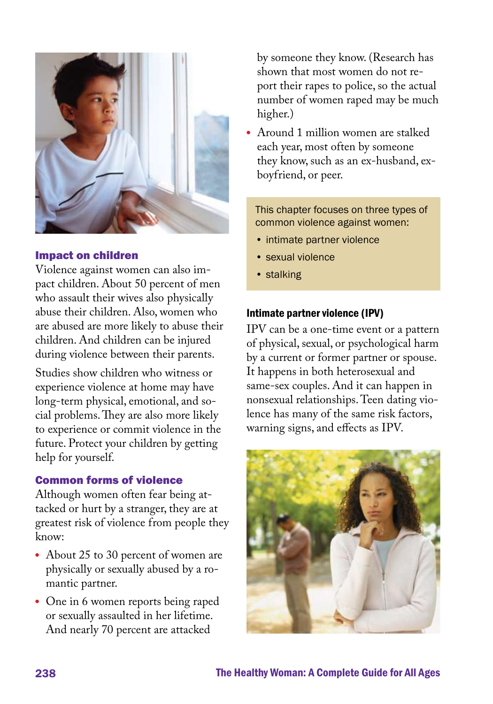

# Impact on children

Violence against women can also impact children. About 50 percent of men who assault their wives also physically abuse their children. Also, women who are abused are more likely to abuse their children. And children can be injured during violence between their parents.

Studies show children who witness or experience violence at home may have long-term physical, emotional, and social problems. They are also more likely to experience or commit violence in the future. Protect your children by getting help for yourself.

# Common forms of violence

Although women often fear being attacked or hurt by a stranger, they are at greatest risk of violence from people they know:

- About 25 to 30 percent of women are physically or sexually abused by a romantic partner.
- One in 6 women reports being raped or sexually assaulted in her lifetime. And nearly 70 percent are attacked

by someone they know. (Research has shown that most women do not report their rapes to police, so the actual number of women raped may be much higher.)

• Around 1 million women are stalked each year, most often by someone they know, such as an ex-husband, exboyfriend, or peer.

This chapter focuses on three types of common violence against women:

- intimate partner violence
- sexual violence
- stalking

### Intimate partner violence (IPV)

IPV can be a one-time event or a pattern of physical, sexual, or psychological harm by a current or former partner or spouse. It happens in both heterosexual and same-sex couples. And it can happen in nonsexual relationships. Teen dating violence has many of the same risk factors, warning signs, and effects as IPV.

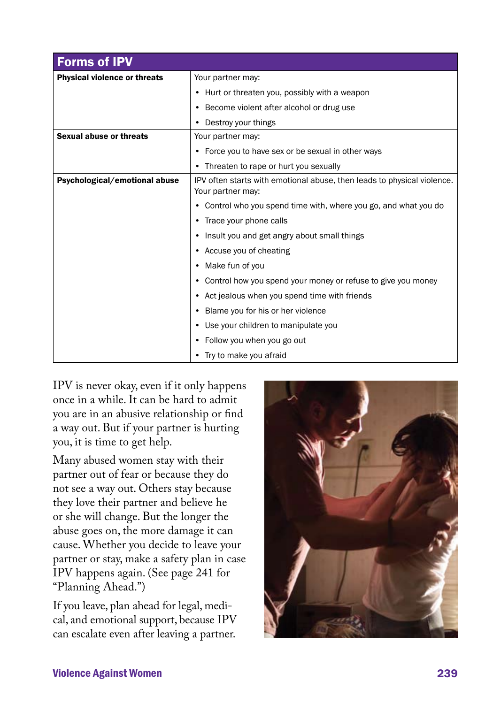| <b>Forms of IPV</b>                 |                                                                                              |  |  |
|-------------------------------------|----------------------------------------------------------------------------------------------|--|--|
| <b>Physical violence or threats</b> | Your partner may:                                                                            |  |  |
|                                     | • Hurt or threaten you, possibly with a weapon                                               |  |  |
|                                     | Become violent after alcohol or drug use                                                     |  |  |
|                                     | Destroy your things                                                                          |  |  |
| Sexual abuse or threats             | Your partner may:                                                                            |  |  |
|                                     | • Force you to have sex or be sexual in other ways                                           |  |  |
|                                     | • Threaten to rape or hurt you sexually                                                      |  |  |
| Psychological/emotional abuse       | IPV often starts with emotional abuse, then leads to physical violence.<br>Your partner may: |  |  |
|                                     | Control who you spend time with, where you go, and what you do                               |  |  |
|                                     | • Trace your phone calls                                                                     |  |  |
|                                     | Insult you and get angry about small things                                                  |  |  |
|                                     | • Accuse you of cheating                                                                     |  |  |
|                                     | Make fun of you                                                                              |  |  |
|                                     | • Control how you spend your money or refuse to give you money                               |  |  |
|                                     | • Act jealous when you spend time with friends                                               |  |  |
|                                     | Blame you for his or her violence                                                            |  |  |
|                                     | • Use your children to manipulate you                                                        |  |  |
|                                     | • Follow you when you go out                                                                 |  |  |
|                                     | Try to make you afraid                                                                       |  |  |

IPV is never okay, even if it only happens once in a while. It can be hard to admit you are in an abusive relationship or find a way out. But if your partner is hurting you, it is time to get help.

Many abused women stay with their partner out of fear or because they do not see a way out. Others stay because they love their partner and believe he or she will change. But the longer the abuse goes on, the more damage it can cause. Whether you decide to leave your partner or stay, make a safety plan in case IPV happens again. (See page 241 for "Planning Ahead.")

If you leave, plan ahead for legal, medical, and emotional support, because IPV can escalate even after leaving a partner.

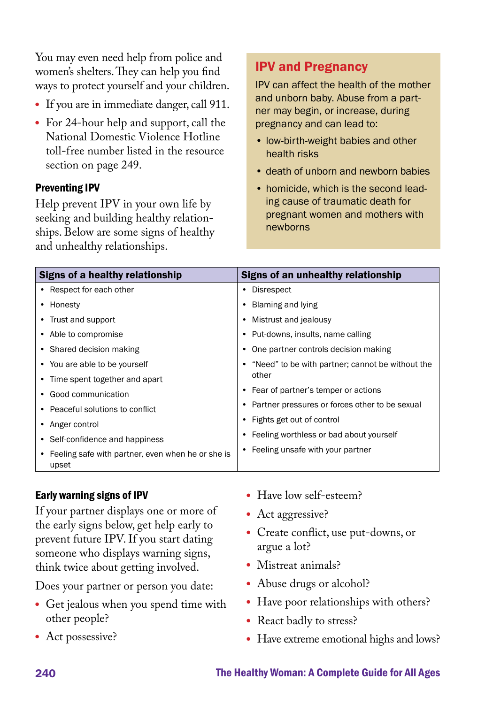You may even need help from police and women's shelters. They can help you find ways to protect yourself and your children.

- If you are in immediate danger, call 911.
- For 24-hour help and support, call the National Domestic Violence Hotline toll-free number listed in the resource section on page 249.

# Preventing IPV

Help prevent IPV in your own life by seeking and building healthy relationships. Below are some signs of healthy and unhealthy relationships.

# IPV and Pregnancy

IPV can affect the health of the mother and unborn baby. Abuse from a partner may begin, or increase, during pregnancy and can lead to:

- low-birth-weight babies and other health risks
- death of unborn and newborn babies
- homicide, which is the second leading cause of traumatic death for pregnant women and mothers with newborns

| Signs of a healthy relationship                            | Signs of an unhealthy relationship               |
|------------------------------------------------------------|--------------------------------------------------|
| • Respect for each other                                   | <b>Disrespect</b><br>٠                           |
| Honesty<br>$\bullet$                                       | Blaming and lying                                |
| • Trust and support                                        | Mistrust and jealousy                            |
| • Able to compromise                                       | Put-downs, insults, name calling                 |
| • Shared decision making                                   | One partner controls decision making             |
| • You are able to be yourself                              | "Need" to be with partner; cannot be without the |
| Time spent together and apart                              | other                                            |
| Good communication                                         | • Fear of partner's temper or actions            |
| Peaceful solutions to conflict                             | Partner pressures or forces other to be sexual   |
| Anger control<br>٠                                         | Fights get out of control                        |
| • Self-confidence and happiness                            | Feeling worthless or bad about yourself          |
| Feeling safe with partner, even when he or she is<br>upset | Feeling unsafe with your partner                 |

# Early warning signs of IPV

If your partner displays one or more of the early signs below, get help early to prevent future IPV. If you start dating someone who displays warning signs, think twice about getting involved.

Does your partner or person you date:

- Get jealous when you spend time with other people?
- Act possessive?
- Have low self-esteem?
- Act aggressive?
- Create conflict, use put-downs, or argue a lot?
- Mistreat animals?
- Abuse drugs or alcohol?
- Have poor relationships with others?
- React badly to stress?
- Have extreme emotional highs and lows?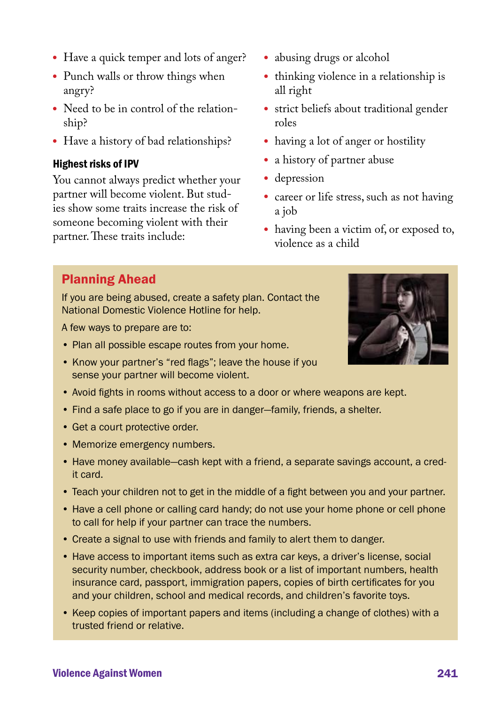- Have a quick temper and lots of anger?
- Punch walls or throw things when angry?
- Need to be in control of the relationship?
- Have a history of bad relationships?

# Highest risks of IPV

You cannot always predict whether your partner will become violent. But studies show some traits increase the risk of someone becoming violent with their partner. These traits include:

- abusing drugs or alcohol
- thinking violence in a relationship is all right
- strict beliefs about traditional gender roles
- having a lot of anger or hostility
- a history of partner abuse
- depression
- career or life stress, such as not having a job
- having been a victim of, or exposed to, violence as a child

# Planning Ahead

If you are being abused, create a safety plan. Contact the National Domestic Violence Hotline for help.

A few ways to prepare are to:

- Plan all possible escape routes from your home.
- 
- Know your partner's "red flags"; leave the house if you sense your partner will become violent.
- Avoid fights in rooms without access to a door or where weapons are kept.
- Find a safe place to go if you are in danger—family, friends, a shelter.
- Get a court protective order.
- Memorize emergency numbers.
- Have money available—cash kept with a friend, a separate savings account, a credit card.
- Teach your children not to get in the middle of a fight between you and your partner.
- Have a cell phone or calling card handy; do not use your home phone or cell phone to call for help if your partner can trace the numbers.
- Create a signal to use with friends and family to alert them to danger.
- Have access to important items such as extra car keys, a driver's license, social security number, checkbook, address book or a list of important numbers, health insurance card, passport, immigration papers, copies of birth certificates for you and your children, school and medical records, and children's favorite toys.
- Keep copies of important papers and items (including a change of clothes) with a trusted friend or relative.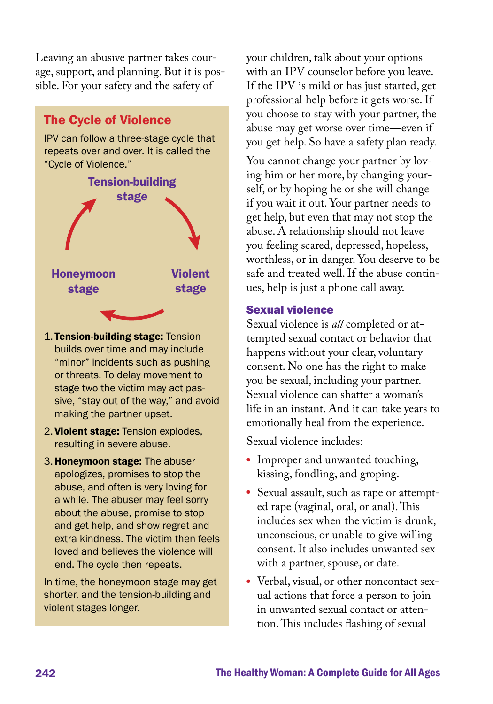Leaving an abusive partner takes courage, support, and planning. But it is possible. For your safety and the safety of

# The Cycle of Violence

IPV can follow a three-stage cycle that repeats over and over. It is called the "Cycle of Violence."



- 1. **Tension-building stage:** Tension builds over time and may include "minor" incidents such as pushing or threats. To delay movement to stage two the victim may act passive, "stay out of the way," and avoid making the partner upset.
- 2. Violent stage: Tension explodes, resulting in severe abuse.
- 3. Honeymoon stage: The abuser apologizes, promises to stop the abuse, and often is very loving for a while. The abuser may feel sorry about the abuse, promise to stop and get help, and show regret and extra kindness. The victim then feels loved and believes the violence will end. The cycle then repeats.

In time, the honeymoon stage may get shorter, and the tension-building and violent stages longer.

your children, talk about your options with an IPV counselor before you leave. If the IPV is mild or has just started, get professional help before it gets worse. If you choose to stay with your partner, the abuse may get worse over time—even if you get help. So have a safety plan ready.

You cannot change your partner by loving him or her more, by changing yourself, or by hoping he or she will change if you wait it out. Your partner needs to get help, but even that may not stop the abuse. A relationship should not leave you feeling scared, depressed, hopeless, worthless, or in danger. You deserve to be safe and treated well. If the abuse continues, help is just a phone call away.

# Sexual violence

Sexual violence is *all* completed or attempted sexual contact or behavior that happens without your clear, voluntary consent. No one has the right to make you be sexual, including your partner. Sexual violence can shatter a woman's life in an instant. And it can take years to emotionally heal from the experience.

Sexual violence includes:

- Improper and unwanted touching, kissing, fondling, and groping.
- Sexual assault, such as rape or attempted rape (vaginal, oral, or anal). This includes sex when the victim is drunk, unconscious, or unable to give willing consent. It also includes unwanted sex with a partner, spouse, or date.
- Verbal, visual, or other noncontact sexual actions that force a person to join in unwanted sexual contact or attention. This includes flashing of sexual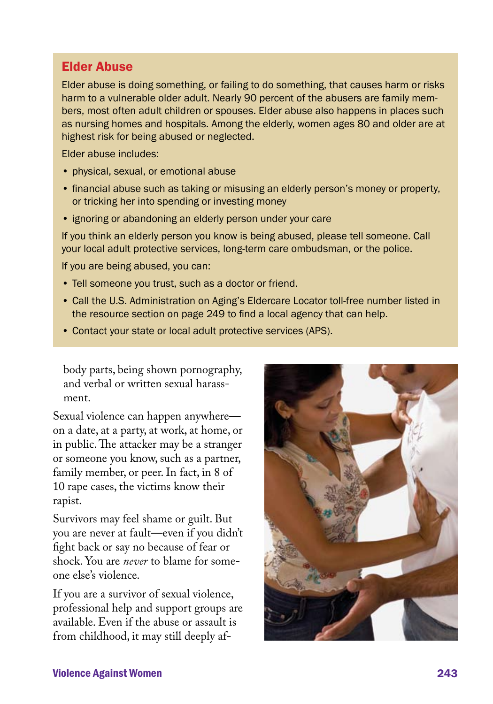# Elder Abuse

Elder abuse is doing something, or failing to do something, that causes harm or risks harm to a vulnerable older adult. Nearly 90 percent of the abusers are family members, most often adult children or spouses. Elder abuse also happens in places such as nursing homes and hospitals. Among the elderly, women ages 80 and older are at highest risk for being abused or neglected.

Elder abuse includes:

- physical, sexual, or emotional abuse
- financial abuse such as taking or misusing an elderly person's money or property, or tricking her into spending or investing money
- ignoring or abandoning an elderly person under your care

If you think an elderly person you know is being abused, please tell someone. Call your local adult protective services, long-term care ombudsman, or the police.

If you are being abused, you can:

- Tell someone you trust, such as a doctor or friend.
- Call the U.S. Administration on Aging's Eldercare Locator toll-free number listed in the resource section on page 249 to find a local agency that can help.
- Contact your state or local adult protective services (APS).

body parts, being shown pornography, and verbal or written sexual harassment.

Sexual violence can happen anywhere on a date, at a party, at work, at home, or in public. The attacker may be a stranger or someone you know, such as a partner, family member, or peer. In fact, in 8 of 10 rape cases, the victims know their rapist.

Survivors may feel shame or guilt. But you are never at fault—even if you didn't fight back or say no because of fear or shock. You are *never* to blame for someone else's violence.

If you are a survivor of sexual violence, professional help and support groups are available. Even if the abuse or assault is from childhood, it may still deeply af-

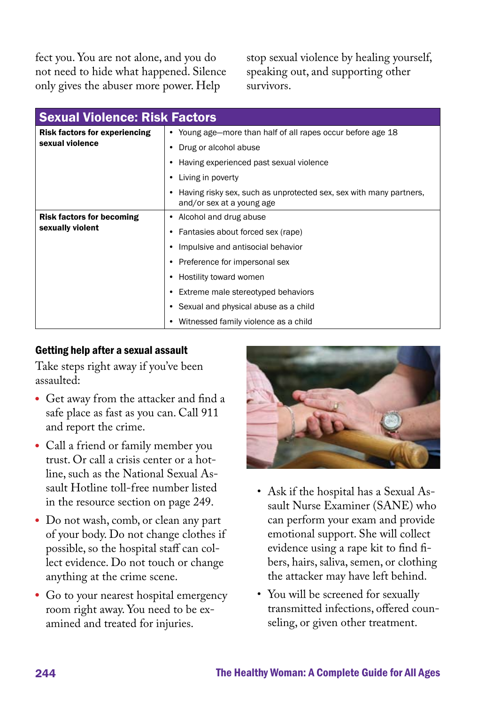fect you. You are not alone, and you do not need to hide what happened. Silence only gives the abuser more power. Help

stop sexual violence by healing yourself, speaking out, and supporting other survivors.

| <b>Sexual Violence: Risk Factors</b> |                                                                                                 |  |
|--------------------------------------|-------------------------------------------------------------------------------------------------|--|
| <b>Risk factors for experiencing</b> | • Young age—more than half of all rapes occur before age 18                                     |  |
| sexual violence                      | Drug or alcohol abuse                                                                           |  |
|                                      | Having experienced past sexual violence                                                         |  |
|                                      | Living in poverty                                                                               |  |
|                                      | Having risky sex, such as unprotected sex, sex with many partners,<br>and/or sex at a young age |  |
| <b>Risk factors for becoming</b>     | • Alcohol and drug abuse                                                                        |  |
| sexually violent                     | Fantasies about forced sex (rape)                                                               |  |
|                                      | Impulsive and antisocial behavior                                                               |  |
|                                      | Preference for impersonal sex                                                                   |  |
|                                      | Hostility toward women                                                                          |  |
|                                      | Extreme male stereotyped behaviors                                                              |  |
|                                      | Sexual and physical abuse as a child                                                            |  |
|                                      | Witnessed family violence as a child                                                            |  |

# Getting help after a sexual assault

Take steps right away if you've been assaulted:

- Get away from the attacker and find a safe place as fast as you can. Call 911 and report the crime.
- Call a friend or family member you trust. Or call a crisis center or a hotline, such as the National Sexual Assault Hotline toll-free number listed in the resource section on page 249.
- Do not wash, comb, or clean any part of your body. Do not change clothes if possible, so the hospital staff can collect evidence. Do not touch or change anything at the crime scene.
- Go to your nearest hospital emergency room right away. You need to be examined and treated for injuries.



- Ask if the hospital has a Sexual Assault Nurse Examiner (SANE) who can perform your exam and provide emotional support. She will collect evidence using a rape kit to find fibers, hairs, saliva, semen, or clothing the attacker may have left behind.
- You will be screened for sexually transmitted infections, offered counseling, or given other treatment.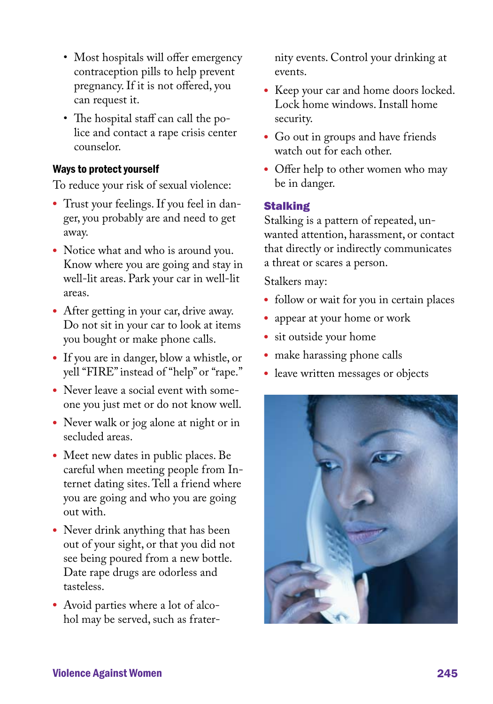- Most hospitals will offer emergency contraception pills to help prevent pregnancy. If it is not offered, you can request it.
- The hospital staff can call the police and contact a rape crisis center counselor.

# Ways to protect yourself

To reduce your risk of sexual violence:

- Trust your feelings. If you feel in danger, you probably are and need to get away.
- Notice what and who is around you. Know where you are going and stay in well-lit areas. Park your car in well-lit areas.
- After getting in your car, drive away. Do not sit in your car to look at items you bought or make phone calls.
- If you are in danger, blow a whistle, or yell "FIRE" instead of "help" or "rape."
- Never leave a social event with someone you just met or do not know well.
- Never walk or jog alone at night or in secluded areas.
- Meet new dates in public places. Be careful when meeting people from Internet dating sites. Tell a friend where you are going and who you are going out with.
- Never drink anything that has been out of your sight, or that you did not see being poured from a new bottle. Date rape drugs are odorless and tasteless.
- Avoid parties where a lot of alcohol may be served, such as frater-

nity events. Control your drinking at events.

- Keep your car and home doors locked. Lock home windows. Install home security.
- Go out in groups and have friends watch out for each other.
- Offer help to other women who may be in danger.

# Stalking

Stalking is a pattern of repeated, unwanted attention, harassment, or contact that directly or indirectly communicates a threat or scares a person.

Stalkers may:

- follow or wait for you in certain places
- appear at your home or work
- sit outside your home
- make harassing phone calls
- leave written messages or objects

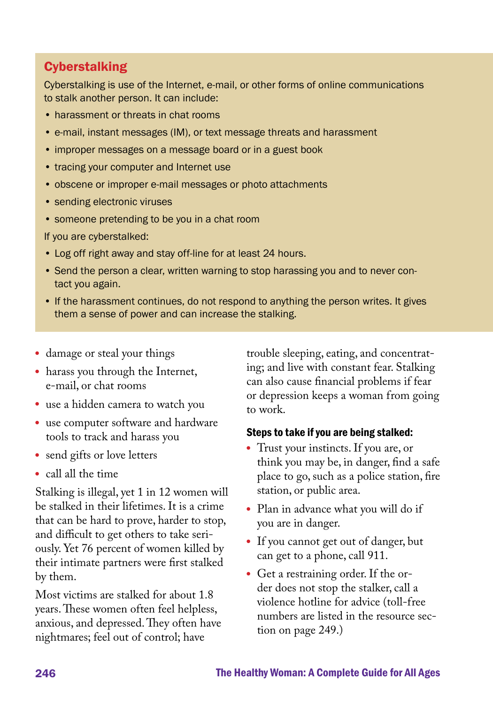# **Cyberstalking**

Cyberstalking is use of the Internet, e-mail, or other forms of online communications to stalk another person. It can include:

- harassment or threats in chat rooms
- e-mail, instant messages (IM), or text message threats and harassment
- improper messages on a message board or in a guest book
- tracing your computer and Internet use
- obscene or improper e-mail messages or photo attachments
- sending electronic viruses
- someone pretending to be you in a chat room

If you are cyberstalked:

- Log off right away and stay off-line for at least 24 hours.
- Send the person a clear, written warning to stop harassing you and to never contact you again.
- If the harassment continues, do not respond to anything the person writes. It gives them a sense of power and can increase the stalking.
- damage or steal your things
- harass you through the Internet, e-mail, or chat rooms
- use a hidden camera to watch you
- use computer software and hardware tools to track and harass you
- send gifts or love letters
- call all the time

Stalking is illegal, yet 1 in 12 women will be stalked in their lifetimes. It is a crime that can be hard to prove, harder to stop, and difficult to get others to take seriously. Yet 76 percent of women killed by their intimate partners were first stalked by them.

Most victims are stalked for about 1.8 years. These women often feel helpless, anxious, and depressed. They often have nightmares; feel out of control; have

trouble sleeping, eating, and concentrating; and live with constant fear. Stalking can also cause financial problems if fear or depression keeps a woman from going to work.

# Steps to take if you are being stalked:

- Trust your instincts. If you are, or think you may be, in danger, find a safe place to go, such as a police station, fire station, or public area.
- Plan in advance what you will do if you are in danger.
- If you cannot get out of danger, but can get to a phone, call 911.
- Get a restraining order. If the order does not stop the stalker, call a violence hotline for advice (toll-free numbers are listed in the resource section on page 249.)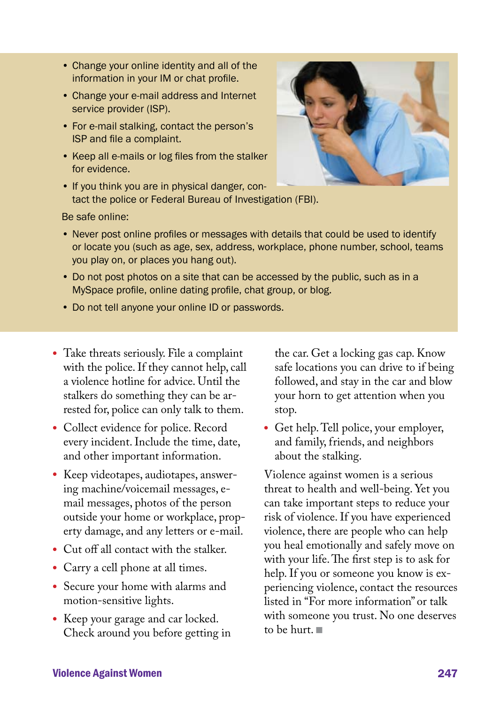- Change your online identity and all of the information in your IM or chat profile.
- Change your e-mail address and Internet service provider (ISP).
- For e-mail stalking, contact the person's ISP and file a complaint.
- Keep all e-mails or log files from the stalker for evidence.
- If you think you are in physical danger, contact the police or Federal Bureau of Investigation (FBI).

# Be safe online:

- Never post online profiles or messages with details that could be used to identify or locate you (such as age, sex, address, workplace, phone number, school, teams you play on, or places you hang out).
- Do not post photos on a site that can be accessed by the public, such as in a MySpace profile, online dating profile, chat group, or blog.
- Do not tell anyone your online ID or passwords.
- Take threats seriously. File a complaint with the police. If they cannot help, call a violence hotline for advice. Until the stalkers do something they can be arrested for, police can only talk to them.
- Collect evidence for police. Record every incident. Include the time, date, and other important information.
- Keep videotapes, audiotapes, answering machine/voicemail messages, email messages, photos of the person outside your home or workplace, property damage, and any letters or e-mail.
- Cut off all contact with the stalker.
- Carry a cell phone at all times.
- Secure your home with alarms and motion-sensitive lights.
- Keep your garage and car locked. Check around you before getting in

the car. Get a locking gas cap. Know safe locations you can drive to if being followed, and stay in the car and blow your horn to get attention when you stop.

• Get help. Tell police, your employer, and family, friends, and neighbors about the stalking.

Violence against women is a serious threat to health and well-being. Yet you can take important steps to reduce your risk of violence. If you have experienced violence, there are people who can help you heal emotionally and safely move on with your life. The first step is to ask for help. If you or someone you know is experiencing violence, contact the resources listed in "For more information" or talk with someone you trust. No one deserves to be hurt.  $\blacksquare$ 

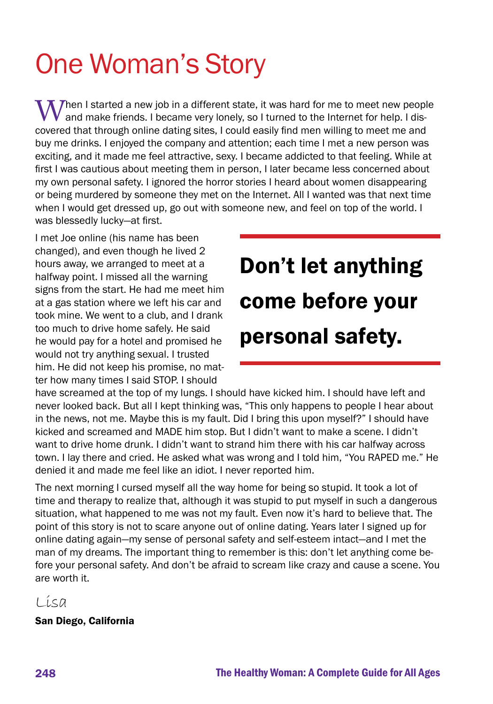# One Woman's Story

Then I started a new job in a different state, it was hard for me to meet new people and make friends. I became very lonely, so I turned to the Internet for help. I discovered that through online dating sites, I could easily find men willing to meet me and buy me drinks. I enjoyed the company and attention; each time I met a new person was exciting, and it made me feel attractive, sexy. I became addicted to that feeling. While at first I was cautious about meeting them in person, I later became less concerned about my own personal safety. I ignored the horror stories I heard about women disappearing or being murdered by someone they met on the Internet. All I wanted was that next time when I would get dressed up, go out with someone new, and feel on top of the world. I was blessedly lucky-at first.

I met Joe online (his name has been changed), and even though he lived 2 hours away, we arranged to meet at a hours away, we arranged to meet at a<br>halfway point. I missed all the warning **Don't let anything** signs from the start. He had me meet him at a gas station where we left his car and at a gas station where we left his car and **come before your** too much to drive home safely. He said too much to drive nome safely. He said<br>he would pay for a hotel and promised he **personal safety.** would not try anything sexual. I trusted him. He did not keep his promise, no matter how many times I said STOP. I should

have screamed at the top of my lungs. I should have kicked him. I should have left and never looked back. But all I kept thinking was, "This only happens to people I hear about in the news, not me. Maybe this is my fault. Did I bring this upon myself?" I should have kicked and screamed and MADE him stop. But I didn't want to make a scene. I didn't want to drive home drunk. I didn't want to strand him there with his car halfway across town. I lay there and cried. He asked what was wrong and I told him, "You RAPED me." He denied it and made me feel like an idiot. I never reported him.

The next morning I cursed myself all the way home for being so stupid. It took a lot of time and therapy to realize that, although it was stupid to put myself in such a dangerous situation, what happened to me was not my fault. Even now it's hard to believe that. The point of this story is not to scare anyone out of online dating. Years later I signed up for online dating again—my sense of personal safety and self-esteem intact—and I met the man of my dreams. The important thing to remember is this: don't let anything come before your personal safety. And don't be afraid to scream like crazy and cause a scene. You are worth it.

# Lisa

# San Diego, California